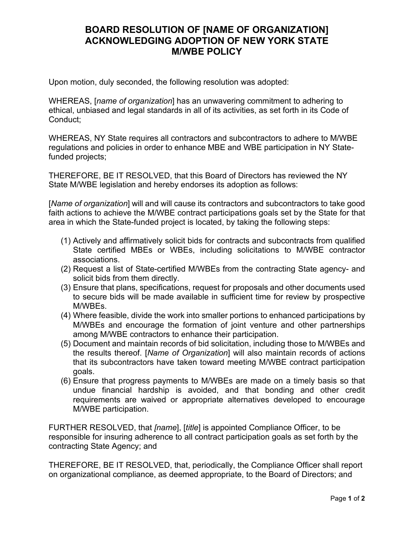## **BOARD RESOLUTION OF [NAME OF ORGANIZATION] ACKNOWLEDGING ADOPTION OF NEW YORK STATE M/WBE POLICY**

Upon motion, duly seconded, the following resolution was adopted:

WHEREAS, [*name of organization*] has an unwavering commitment to adhering to ethical, unbiased and legal standards in all of its activities, as set forth in its Code of Conduct;

WHEREAS, NY State requires all contractors and subcontractors to adhere to M/WBE regulations and policies in order to enhance MBE and WBE participation in NY Statefunded projects;

THEREFORE, BE IT RESOLVED, that this Board of Directors has reviewed the NY State M/WBE legislation and hereby endorses its adoption as follows:

[*Name of organization*] will and will cause its contractors and subcontractors to take good faith actions to achieve the M/WBE contract participations goals set by the State for that area in which the State-funded project is located, by taking the following steps:

- (1) Actively and affirmatively solicit bids for contracts and subcontracts from qualified State certified MBEs or WBEs, including solicitations to M/WBE contractor associations.
- (2) Request a list of State-certified M/WBEs from the contracting State agency- and solicit bids from them directly.
- (3) Ensure that plans, specifications, request for proposals and other documents used to secure bids will be made available in sufficient time for review by prospective M/WBEs.
- (4) Where feasible, divide the work into smaller portions to enhanced participations by M/WBEs and encourage the formation of joint venture and other partnerships among M/WBE contractors to enhance their participation.
- (5) Document and maintain records of bid solicitation, including those to M/WBEs and the results thereof. [*Name of Organization*] will also maintain records of actions that its subcontractors have taken toward meeting M/WBE contract participation goals.
- (6) Ensure that progress payments to M/WBEs are made on a timely basis so that undue financial hardship is avoided, and that bonding and other credit requirements are waived or appropriate alternatives developed to encourage M/WBE participation.

FURTHER RESOLVED, that *[name*], [*title*] is appointed Compliance Officer, to be responsible for insuring adherence to all contract participation goals as set forth by the contracting State Agency; and

THEREFORE, BE IT RESOLVED, that, periodically, the Compliance Officer shall report on organizational compliance, as deemed appropriate, to the Board of Directors; and